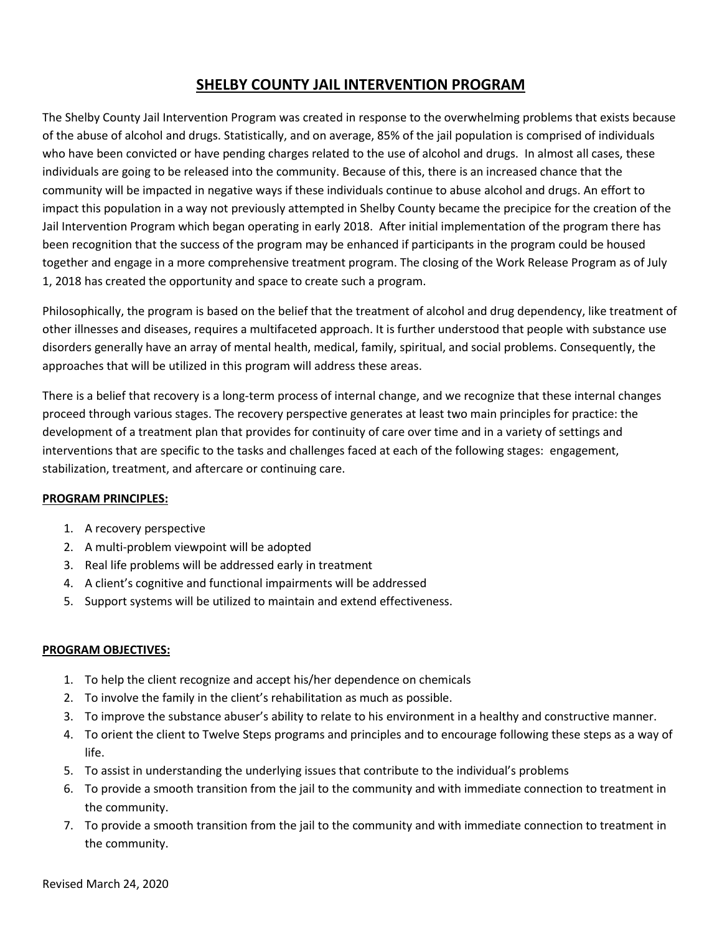# **SHELBY COUNTY JAIL INTERVENTION PROGRAM**

The Shelby County Jail Intervention Program was created in response to the overwhelming problems that exists because of the abuse of alcohol and drugs. Statistically, and on average, 85% of the jail population is comprised of individuals who have been convicted or have pending charges related to the use of alcohol and drugs. In almost all cases, these individuals are going to be released into the community. Because of this, there is an increased chance that the community will be impacted in negative ways if these individuals continue to abuse alcohol and drugs. An effort to impact this population in a way not previously attempted in Shelby County became the precipice for the creation of the Jail Intervention Program which began operating in early 2018. After initial implementation of the program there has been recognition that the success of the program may be enhanced if participants in the program could be housed together and engage in a more comprehensive treatment program. The closing of the Work Release Program as of July 1, 2018 has created the opportunity and space to create such a program.

Philosophically, the program is based on the belief that the treatment of alcohol and drug dependency, like treatment of other illnesses and diseases, requires a multifaceted approach. It is further understood that people with substance use disorders generally have an array of mental health, medical, family, spiritual, and social problems. Consequently, the approaches that will be utilized in this program will address these areas.

There is a belief that recovery is a long-term process of internal change, and we recognize that these internal changes proceed through various stages. The recovery perspective generates at least two main principles for practice: the development of a treatment plan that provides for continuity of care over time and in a variety of settings and interventions that are specific to the tasks and challenges faced at each of the following stages: engagement, stabilization, treatment, and aftercare or continuing care.

# **PROGRAM PRINCIPLES:**

- 1. A recovery perspective
- 2. A multi-problem viewpoint will be adopted
- 3. Real life problems will be addressed early in treatment
- 4. A client's cognitive and functional impairments will be addressed
- 5. Support systems will be utilized to maintain and extend effectiveness.

### **PROGRAM OBJECTIVES:**

- 1. To help the client recognize and accept his/her dependence on chemicals
- 2. To involve the family in the client's rehabilitation as much as possible.
- 3. To improve the substance abuser's ability to relate to his environment in a healthy and constructive manner.
- 4. To orient the client to Twelve Steps programs and principles and to encourage following these steps as a way of life.
- 5. To assist in understanding the underlying issues that contribute to the individual's problems
- 6. To provide a smooth transition from the jail to the community and with immediate connection to treatment in the community.
- 7. To provide a smooth transition from the jail to the community and with immediate connection to treatment in the community.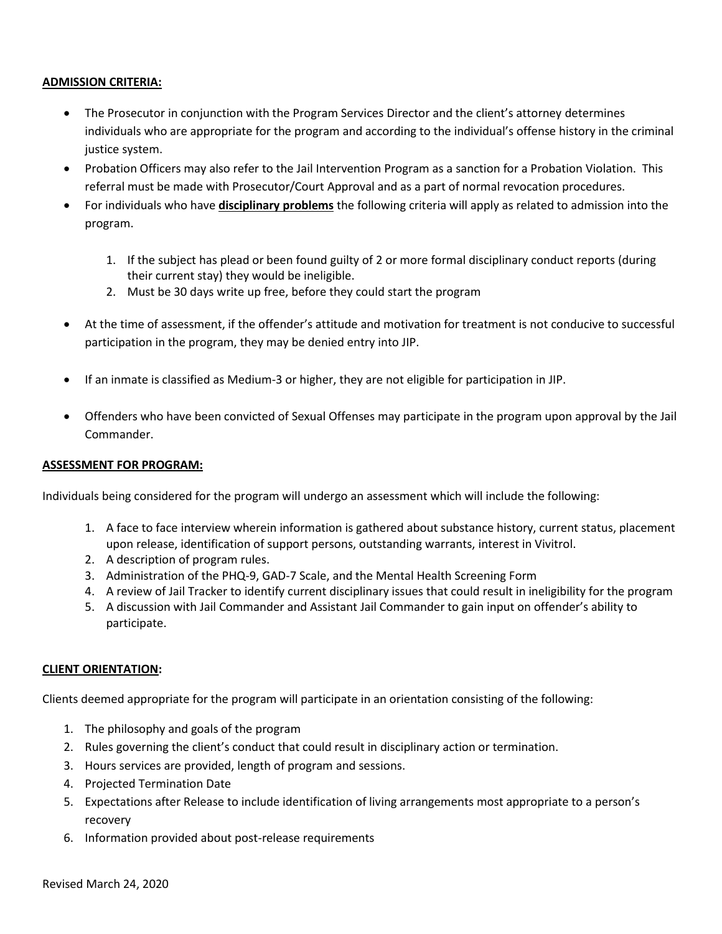#### **ADMISSION CRITERIA:**

- The Prosecutor in conjunction with the Program Services Director and the client's attorney determines individuals who are appropriate for the program and according to the individual's offense history in the criminal justice system.
- Probation Officers may also refer to the Jail Intervention Program as a sanction for a Probation Violation. This referral must be made with Prosecutor/Court Approval and as a part of normal revocation procedures.
- For individuals who have **disciplinary problems** the following criteria will apply as related to admission into the program.
	- 1. If the subject has plead or been found guilty of 2 or more formal disciplinary conduct reports (during their current stay) they would be ineligible.
	- 2. Must be 30 days write up free, before they could start the program
- At the time of assessment, if the offender's attitude and motivation for treatment is not conducive to successful participation in the program, they may be denied entry into JIP.
- If an inmate is classified as Medium-3 or higher, they are not eligible for participation in JIP.
- Offenders who have been convicted of Sexual Offenses may participate in the program upon approval by the Jail Commander.

#### **ASSESSMENT FOR PROGRAM:**

Individuals being considered for the program will undergo an assessment which will include the following:

- 1. A face to face interview wherein information is gathered about substance history, current status, placement upon release, identification of support persons, outstanding warrants, interest in Vivitrol.
- 2. A description of program rules.
- 3. Administration of the PHQ-9, GAD-7 Scale, and the Mental Health Screening Form
- 4. A review of Jail Tracker to identify current disciplinary issues that could result in ineligibility for the program
- 5. A discussion with Jail Commander and Assistant Jail Commander to gain input on offender's ability to participate.

### **CLIENT ORIENTATION:**

Clients deemed appropriate for the program will participate in an orientation consisting of the following:

- 1. The philosophy and goals of the program
- 2. Rules governing the client's conduct that could result in disciplinary action or termination.
- 3. Hours services are provided, length of program and sessions.
- 4. Projected Termination Date
- 5. Expectations after Release to include identification of living arrangements most appropriate to a person's recovery
- 6. Information provided about post-release requirements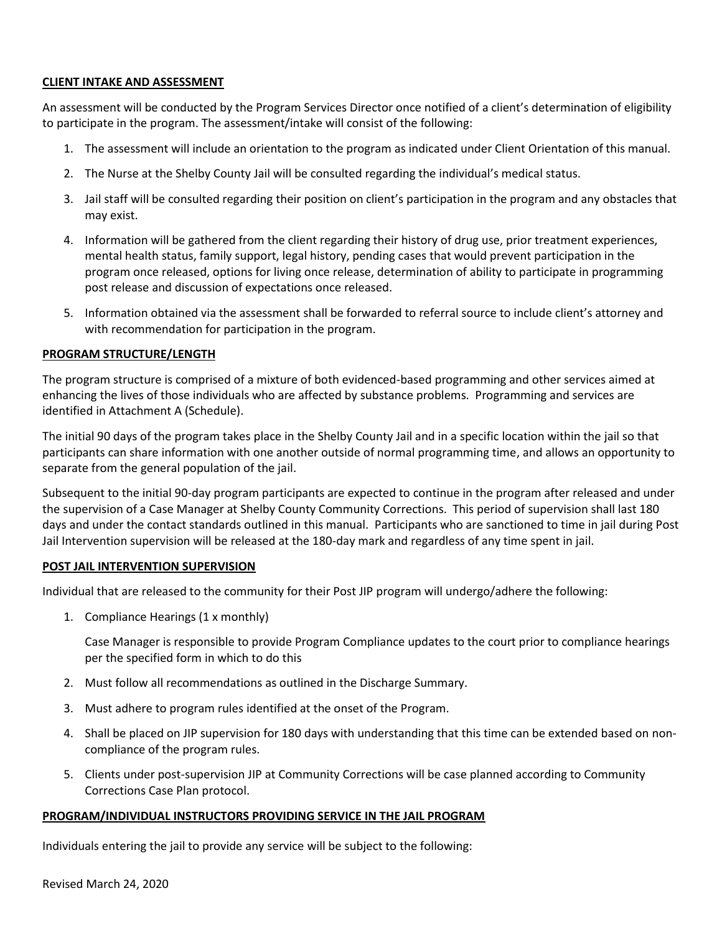#### **CLIENT INTAKE AND ASSESSMENT**

An assessment will be conducted by the Program Services Director once notified of a client's determination of eligibility to participate in the program. The assessment/intake will consist of the following:

- 1. The assessment will include an orientation to the program as indicated under Client Orientation of this manual.
- 2. The Nurse at the Shelby County Jail will be consulted regarding the individual's medical status.
- 3. Jail staff will be consulted regarding their position on client's participation in the program and any obstacles that may exist.
- 4. Information will be gathered from the client regarding their history of drug use, prior treatment experiences, mental health status, family support, legal history, pending cases that would prevent participation in the program once released, options for living once release, determination of ability to participate in programming post release and discussion of expectations once released.
- 5. Information obtained via the assessment shall be forwarded to referral source to include client's attorney and with recommendation for participation in the program.

#### **PROGRAM STRUCTURE/LENGTH**

The program structure is comprised of a mixture of both evidenced-based programming and other services aimed at enhancing the lives of those individuals who are affected by substance problems. Programming and services are identified in Attachment A (Schedule).

The initial 90 days of the program takes place in the Shelby County Jail and in a specific location within the jail so that participants can share information with one another outside of normal programming time, and allows an opportunity to separate from the general population of the jail.

Subsequent to the initial 90-day program participants are expected to continue in the program after released and under the supervision of a Case Manager at Shelby County Community Corrections. This period of supervision shall last 180 days and under the contact standards outlined in this manual. Participants who are sanctioned to time in jail during Post Jail Intervention supervision will be released at the 180-day mark and regardless of any time spent in jail.

#### **POST JAIL INTERVENTION SUPERVISION**

Individual that are released to the community for their Post JIP program will undergo/adhere the following:

1. Compliance Hearings (1 x monthly)

Case Manager is responsible to provide Program Compliance updates to the court prior to compliance hearings per the specified form in which to do this

- 2. Must follow all recommendations as outlined in the Discharge Summary.
- 3. Must adhere to program rules identified at the onset of the Program.
- 4. Shall be placed on JIP supervision for 180 days with understanding that this time can be extended based on noncompliance of the program rules.
- 5. Clients under post-supervision JIP at Community Corrections will be case planned according to Community Corrections Case Plan protocol.

#### **PROGRAM/INDIVIDUAL INSTRUCTORS PROVIDING SERVICE IN THE JAIL PROGRAM**

Individuals entering the jail to provide any service will be subject to the following: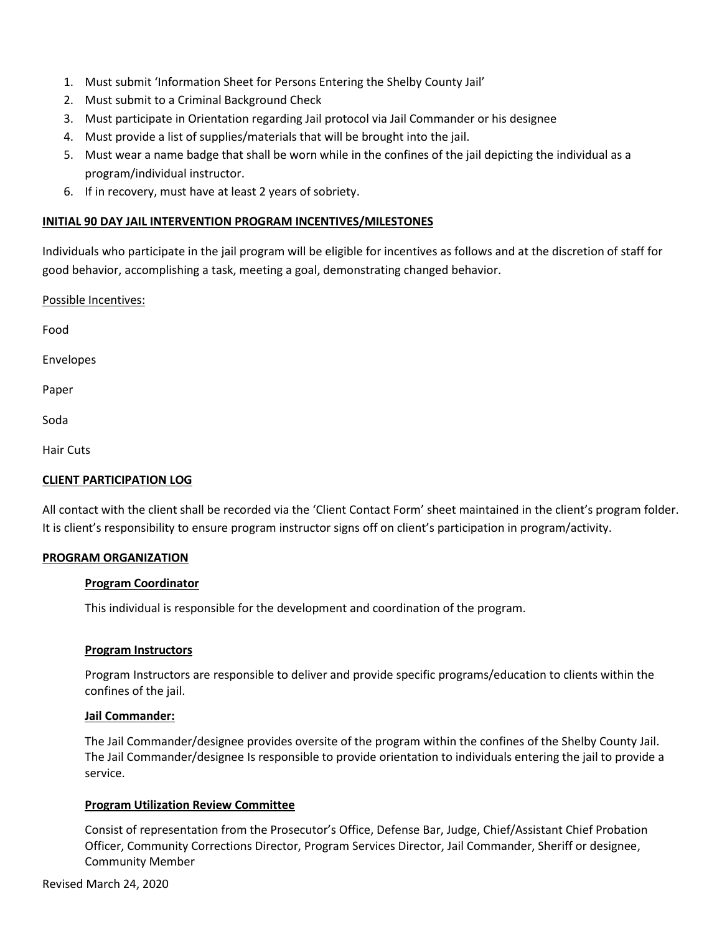- 1. Must submit 'Information Sheet for Persons Entering the Shelby County Jail'
- 2. Must submit to a Criminal Background Check
- 3. Must participate in Orientation regarding Jail protocol via Jail Commander or his designee
- 4. Must provide a list of supplies/materials that will be brought into the jail.
- 5. Must wear a name badge that shall be worn while in the confines of the jail depicting the individual as a program/individual instructor.
- 6. If in recovery, must have at least 2 years of sobriety.

### **INITIAL 90 DAY JAIL INTERVENTION PROGRAM INCENTIVES/MILESTONES**

Individuals who participate in the jail program will be eligible for incentives as follows and at the discretion of staff for good behavior, accomplishing a task, meeting a goal, demonstrating changed behavior.

Possible Incentives:

Food

Envelopes

Paper

Soda

Hair Cuts

### **CLIENT PARTICIPATION LOG**

All contact with the client shall be recorded via the 'Client Contact Form' sheet maintained in the client's program folder. It is client's responsibility to ensure program instructor signs off on client's participation in program/activity.

### **PROGRAM ORGANIZATION**

### **Program Coordinator**

This individual is responsible for the development and coordination of the program.

### **Program Instructors**

Program Instructors are responsible to deliver and provide specific programs/education to clients within the confines of the jail.

### **Jail Commander:**

The Jail Commander/designee provides oversite of the program within the confines of the Shelby County Jail. The Jail Commander/designee Is responsible to provide orientation to individuals entering the jail to provide a service.

### **Program Utilization Review Committee**

Consist of representation from the Prosecutor's Office, Defense Bar, Judge, Chief/Assistant Chief Probation Officer, Community Corrections Director, Program Services Director, Jail Commander, Sheriff or designee, Community Member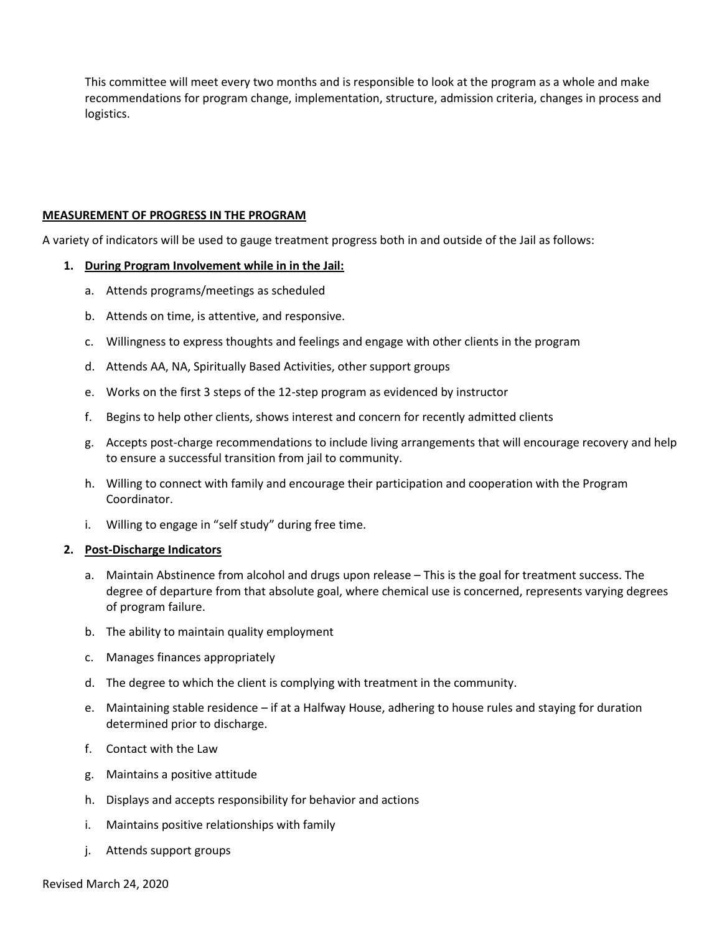This committee will meet every two months and is responsible to look at the program as a whole and make recommendations for program change, implementation, structure, admission criteria, changes in process and logistics.

#### **MEASUREMENT OF PROGRESS IN THE PROGRAM**

A variety of indicators will be used to gauge treatment progress both in and outside of the Jail as follows:

#### **1. During Program Involvement while in in the Jail:**

- a. Attends programs/meetings as scheduled
- b. Attends on time, is attentive, and responsive.
- c. Willingness to express thoughts and feelings and engage with other clients in the program
- d. Attends AA, NA, Spiritually Based Activities, other support groups
- e. Works on the first 3 steps of the 12-step program as evidenced by instructor
- f. Begins to help other clients, shows interest and concern for recently admitted clients
- g. Accepts post-charge recommendations to include living arrangements that will encourage recovery and help to ensure a successful transition from jail to community.
- h. Willing to connect with family and encourage their participation and cooperation with the Program Coordinator.
- i. Willing to engage in "self study" during free time.

#### **2. Post-Discharge Indicators**

- a. Maintain Abstinence from alcohol and drugs upon release This is the goal for treatment success. The degree of departure from that absolute goal, where chemical use is concerned, represents varying degrees of program failure.
- b. The ability to maintain quality employment
- c. Manages finances appropriately
- d. The degree to which the client is complying with treatment in the community.
- e. Maintaining stable residence if at a Halfway House, adhering to house rules and staying for duration determined prior to discharge.
- f. Contact with the Law
- g. Maintains a positive attitude
- h. Displays and accepts responsibility for behavior and actions
- i. Maintains positive relationships with family
- j. Attends support groups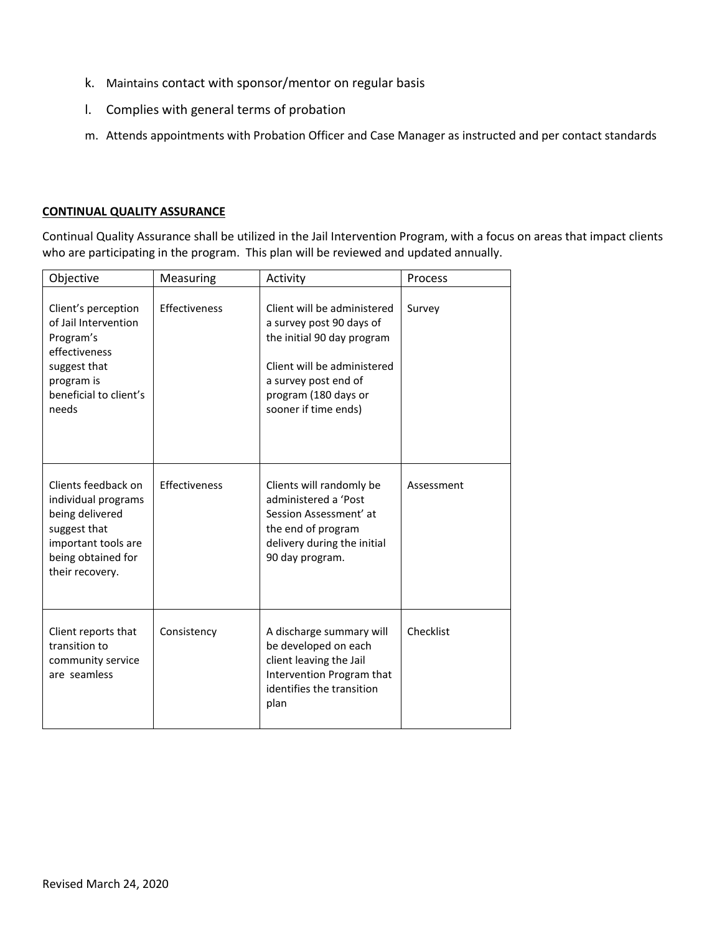- k. Maintains contact with sponsor/mentor on regular basis
- l. Complies with general terms of probation
- m. Attends appointments with Probation Officer and Case Manager as instructed and per contact standards

#### **CONTINUAL QUALITY ASSURANCE**

Continual Quality Assurance shall be utilized in the Jail Intervention Program, with a focus on areas that impact clients who are participating in the program. This plan will be reviewed and updated annually.

| Objective                                                                                                                                     | Measuring     | Activity                                                                                                                                                                                     | Process    |
|-----------------------------------------------------------------------------------------------------------------------------------------------|---------------|----------------------------------------------------------------------------------------------------------------------------------------------------------------------------------------------|------------|
| Client's perception<br>of Jail Intervention<br>Program's<br>effectiveness<br>suggest that<br>program is<br>beneficial to client's<br>needs    | Effectiveness | Client will be administered<br>a survey post 90 days of<br>the initial 90 day program<br>Client will be administered<br>a survey post end of<br>program (180 days or<br>sooner if time ends) | Survey     |
| Clients feedback on<br>individual programs<br>being delivered<br>suggest that<br>important tools are<br>being obtained for<br>their recovery. | Effectiveness | Clients will randomly be<br>administered a 'Post<br>Session Assessment' at<br>the end of program<br>delivery during the initial<br>90 day program.                                           | Assessment |
| Client reports that<br>transition to<br>community service<br>are seamless                                                                     | Consistency   | A discharge summary will<br>be developed on each<br>client leaving the Jail<br>Intervention Program that<br>identifies the transition<br>plan                                                | Checklist  |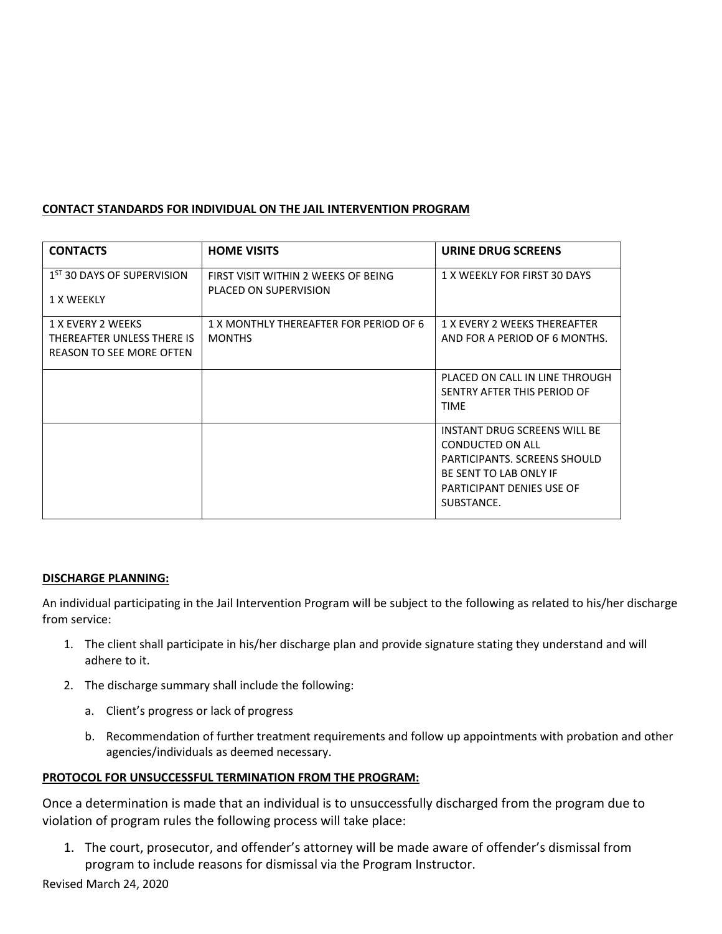# **CONTACT STANDARDS FOR INDIVIDUAL ON THE JAIL INTERVENTION PROGRAM**

| <b>CONTACTS</b>                                                                    | <b>HOME VISITS</b>                                           | URINE DRUG SCREENS                                                                                                                                    |
|------------------------------------------------------------------------------------|--------------------------------------------------------------|-------------------------------------------------------------------------------------------------------------------------------------------------------|
| 1 <sup>ST</sup> 30 DAYS OF SUPERVISION<br>1 X WEEKLY                               | FIRST VISIT WITHIN 2 WEEKS OF BEING<br>PLACED ON SUPERVISION | 1 X WEEKLY FOR FIRST 30 DAYS                                                                                                                          |
| 1 X EVERY 2 WEEKS<br>THEREAFTER UNLESS THERE IS<br><b>REASON TO SEE MORE OFTEN</b> | 1 X MONTHLY THEREAFTER FOR PERIOD OF 6<br><b>MONTHS</b>      | <b>1 X EVERY 2 WEEKS THEREAFTER</b><br>AND FOR A PERIOD OF 6 MONTHS.                                                                                  |
|                                                                                    |                                                              | PLACED ON CALL IN LINE THROUGH<br>SENTRY AFTER THIS PERIOD OF<br><b>TIME</b>                                                                          |
|                                                                                    |                                                              | INSTANT DRUG SCREENS WILL BE<br>CONDUCTED ON ALL<br>PARTICIPANTS, SCREENS SHOULD<br>BE SENT TO LAB ONLY IF<br>PARTICIPANT DENIES USE OF<br>SUBSTANCE. |

### **DISCHARGE PLANNING:**

An individual participating in the Jail Intervention Program will be subject to the following as related to his/her discharge from service:

- 1. The client shall participate in his/her discharge plan and provide signature stating they understand and will adhere to it.
- 2. The discharge summary shall include the following:
	- a. Client's progress or lack of progress
	- b. Recommendation of further treatment requirements and follow up appointments with probation and other agencies/individuals as deemed necessary.

# **PROTOCOL FOR UNSUCCESSFUL TERMINATION FROM THE PROGRAM:**

Once a determination is made that an individual is to unsuccessfully discharged from the program due to violation of program rules the following process will take place:

1. The court, prosecutor, and offender's attorney will be made aware of offender's dismissal from program to include reasons for dismissal via the Program Instructor.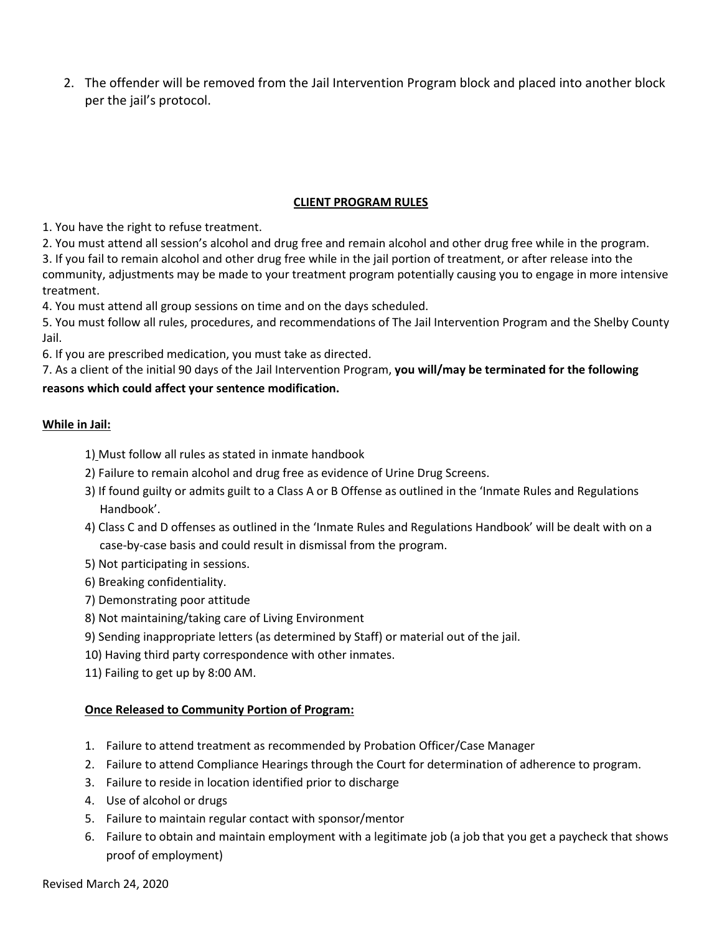2. The offender will be removed from the Jail Intervention Program block and placed into another block per the jail's protocol.

# **CLIENT PROGRAM RULES**

1. You have the right to refuse treatment.

2. You must attend all session's alcohol and drug free and remain alcohol and other drug free while in the program.

3. If you fail to remain alcohol and other drug free while in the jail portion of treatment, or after release into the community, adjustments may be made to your treatment program potentially causing you to engage in more intensive treatment.

4. You must attend all group sessions on time and on the days scheduled.

5. You must follow all rules, procedures, and recommendations of The Jail Intervention Program and the Shelby County Jail.

6. If you are prescribed medication, you must take as directed.

7. As a client of the initial 90 days of the Jail Intervention Program, **you will/may be terminated for the following**

# **reasons which could affect your sentence modification.**

# **While in Jail:**

- 1) Must follow all rules as stated in inmate handbook
- 2) Failure to remain alcohol and drug free as evidence of Urine Drug Screens.
- 3) If found guilty or admits guilt to a Class A or B Offense as outlined in the 'Inmate Rules and Regulations Handbook'.
- 4) Class C and D offenses as outlined in the 'Inmate Rules and Regulations Handbook' will be dealt with on a case-by-case basis and could result in dismissal from the program.
- 5) Not participating in sessions.
- 6) Breaking confidentiality.
- 7) Demonstrating poor attitude
- 8) Not maintaining/taking care of Living Environment
- 9) Sending inappropriate letters (as determined by Staff) or material out of the jail.
- 10) Having third party correspondence with other inmates.
- 11) Failing to get up by 8:00 AM.

### **Once Released to Community Portion of Program:**

- 1. Failure to attend treatment as recommended by Probation Officer/Case Manager
- 2. Failure to attend Compliance Hearings through the Court for determination of adherence to program.
- 3. Failure to reside in location identified prior to discharge
- 4. Use of alcohol or drugs
- 5. Failure to maintain regular contact with sponsor/mentor
- 6. Failure to obtain and maintain employment with a legitimate job (a job that you get a paycheck that shows proof of employment)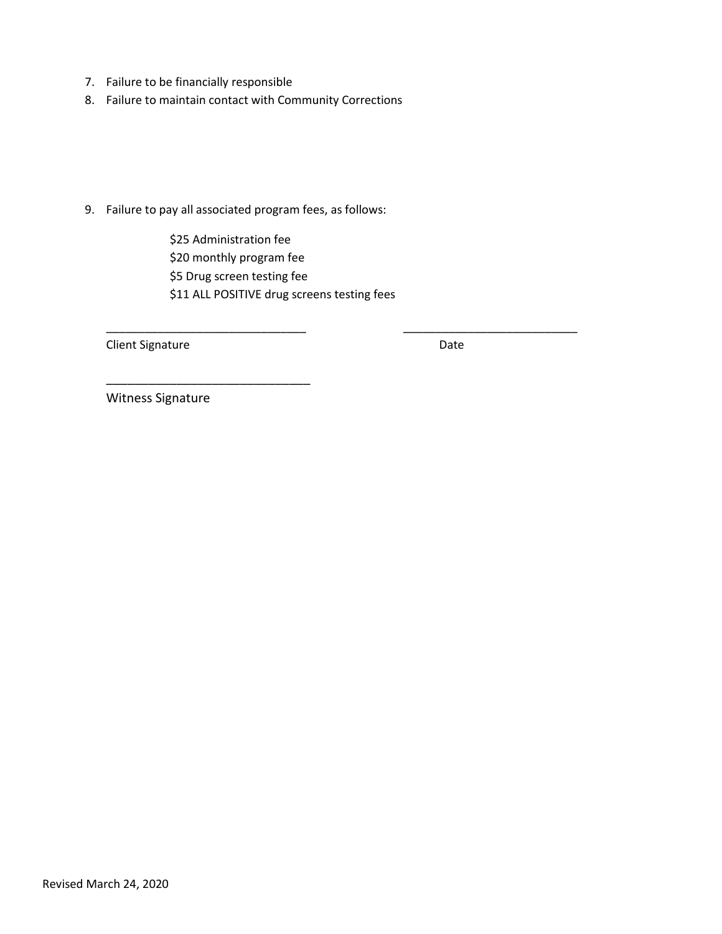- 7. Failure to be financially responsible
- 8. Failure to maintain contact with Community Corrections

9. Failure to pay all associated program fees, as follows:

\$25 Administration fee \$20 monthly program fee \$5 Drug screen testing fee \$11 ALL POSITIVE drug screens testing fees

\_\_\_\_\_\_\_\_\_\_\_\_\_\_\_\_\_\_\_\_\_\_\_\_\_\_\_\_\_\_\_ \_\_\_\_\_\_\_\_\_\_\_\_\_\_\_\_\_\_\_\_\_\_\_\_\_\_\_

Client Signature Date Date

Witness Signature

\_\_\_\_\_\_\_\_\_\_\_\_\_\_\_\_\_\_\_\_\_\_\_\_\_\_\_\_\_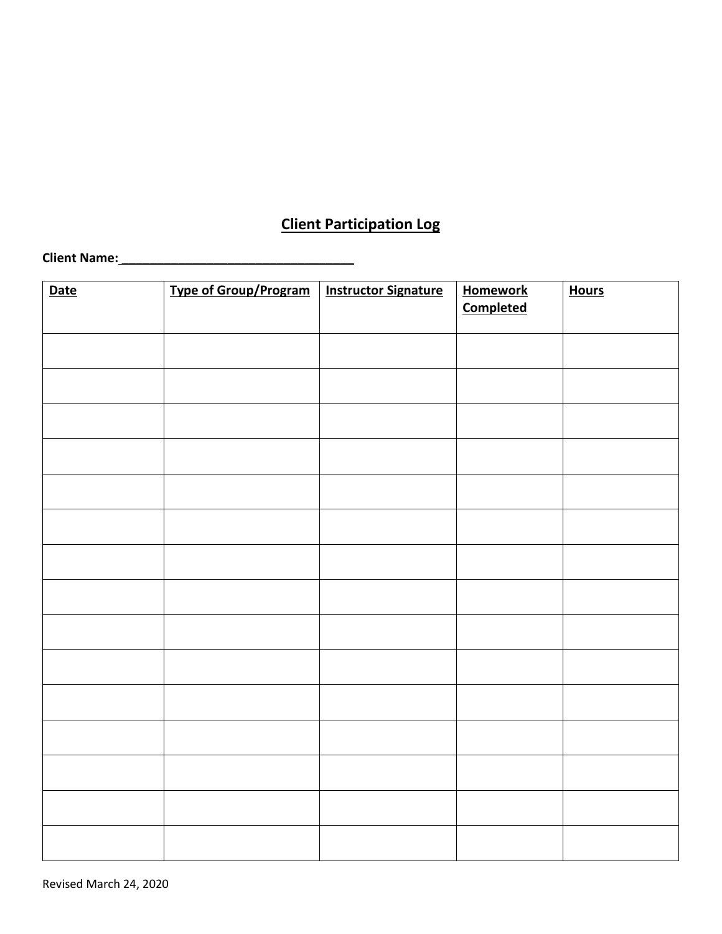# **Client Participation Log**

# **Client Name: \_\_\_\_\_\_\_\_\_\_\_\_\_\_\_\_\_\_\_\_\_\_\_\_\_\_\_\_\_\_\_\_\_**

| <b>Date</b> | <b>Type of Group/Program</b> | <b>Instructor Signature</b> | <b>Homework</b><br><b>Completed</b> | <b>Hours</b> |
|-------------|------------------------------|-----------------------------|-------------------------------------|--------------|
|             |                              |                             |                                     |              |
|             |                              |                             |                                     |              |
|             |                              |                             |                                     |              |
|             |                              |                             |                                     |              |
|             |                              |                             |                                     |              |
|             |                              |                             |                                     |              |
|             |                              |                             |                                     |              |
|             |                              |                             |                                     |              |
|             |                              |                             |                                     |              |
|             |                              |                             |                                     |              |
|             |                              |                             |                                     |              |
|             |                              |                             |                                     |              |
|             |                              |                             |                                     |              |
|             |                              |                             |                                     |              |
|             |                              |                             |                                     |              |
|             |                              |                             |                                     |              |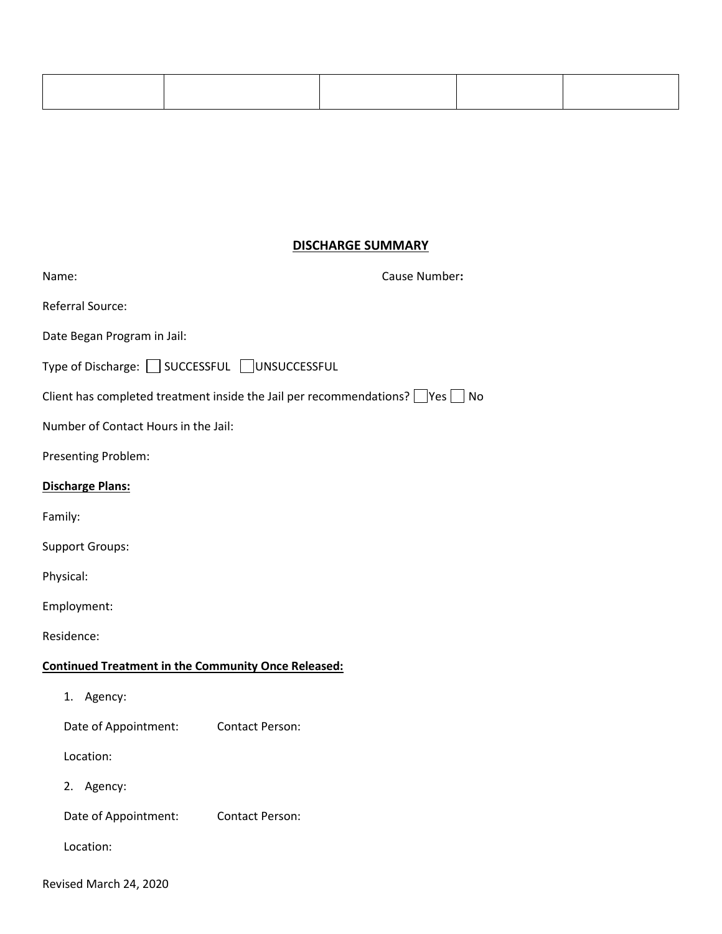# **DISCHARGE SUMMARY**

| Name:                                                      | Cause Number:                                                                            |
|------------------------------------------------------------|------------------------------------------------------------------------------------------|
| Referral Source:                                           |                                                                                          |
| Date Began Program in Jail:                                |                                                                                          |
| Type of Discharge: SUCCESSFUL UNSUCCESSFUL                 |                                                                                          |
|                                                            | Client has completed treatment inside the Jail per recommendations? $\Box$ Yes $\Box$ No |
| Number of Contact Hours in the Jail:                       |                                                                                          |
| Presenting Problem:                                        |                                                                                          |
| <b>Discharge Plans:</b>                                    |                                                                                          |
| Family:                                                    |                                                                                          |
| <b>Support Groups:</b>                                     |                                                                                          |
| Physical:                                                  |                                                                                          |
| Employment:                                                |                                                                                          |
| Residence:                                                 |                                                                                          |
| <b>Continued Treatment in the Community Once Released:</b> |                                                                                          |
| 1. Agency:                                                 |                                                                                          |
| Date of Appointment:                                       | <b>Contact Person:</b>                                                                   |
| Location:                                                  |                                                                                          |
| 2. Agency:                                                 |                                                                                          |
| Date of Appointment:                                       | <b>Contact Person:</b>                                                                   |
| Location:                                                  |                                                                                          |
| Revised March 24, 2020                                     |                                                                                          |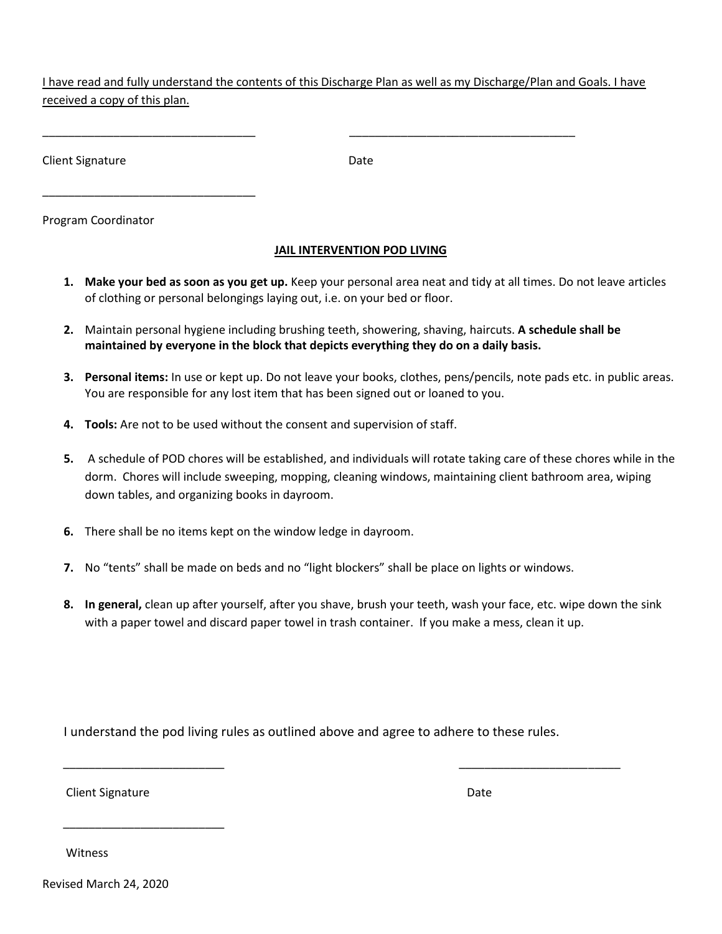I have read and fully understand the contents of this Discharge Plan as well as my Discharge/Plan and Goals. I have received a copy of this plan.

\_\_\_\_\_\_\_\_\_\_\_\_\_\_\_\_\_\_\_\_\_\_\_\_\_\_\_\_\_\_\_\_\_ \_\_\_\_\_\_\_\_\_\_\_\_\_\_\_\_\_\_\_\_\_\_\_\_\_\_\_\_\_\_\_\_\_\_\_

Client Signature Date

Program Coordinator

\_\_\_\_\_\_\_\_\_\_\_\_\_\_\_\_\_\_\_\_\_\_\_\_\_\_\_\_\_\_\_\_\_

# **JAIL INTERVENTION POD LIVING**

- **1. Make your bed as soon as you get up.** Keep your personal area neat and tidy at all times. Do not leave articles of clothing or personal belongings laying out, i.e. on your bed or floor.
- **2.** Maintain personal hygiene including brushing teeth, showering, shaving, haircuts. **A schedule shall be maintained by everyone in the block that depicts everything they do on a daily basis.**
- **3. Personal items:** In use or kept up. Do not leave your books, clothes, pens/pencils, note pads etc. in public areas. You are responsible for any lost item that has been signed out or loaned to you.
- **4. Tools:** Are not to be used without the consent and supervision of staff.
- **5.** A schedule of POD chores will be established, and individuals will rotate taking care of these chores while in the dorm. Chores will include sweeping, mopping, cleaning windows, maintaining client bathroom area, wiping down tables, and organizing books in dayroom.
- **6.** There shall be no items kept on the window ledge in dayroom.
- **7.** No "tents" shall be made on beds and no "light blockers" shall be place on lights or windows.
- **8. In general,** clean up after yourself, after you shave, brush your teeth, wash your face, etc. wipe down the sink with a paper towel and discard paper towel in trash container. If you make a mess, clean it up.

I understand the pod living rules as outlined above and agree to adhere to these rules.

\_\_\_\_\_\_\_\_\_\_\_\_\_\_\_\_\_\_\_\_\_\_\_\_\_ \_\_\_\_\_\_\_\_\_\_\_\_\_\_\_\_\_\_\_\_\_\_\_\_\_

Client Signature Date Date of the United States of the Date Date Date Date Date Date

\_\_\_\_\_\_\_\_\_\_\_\_\_\_\_\_\_\_\_\_\_\_\_\_\_

Witness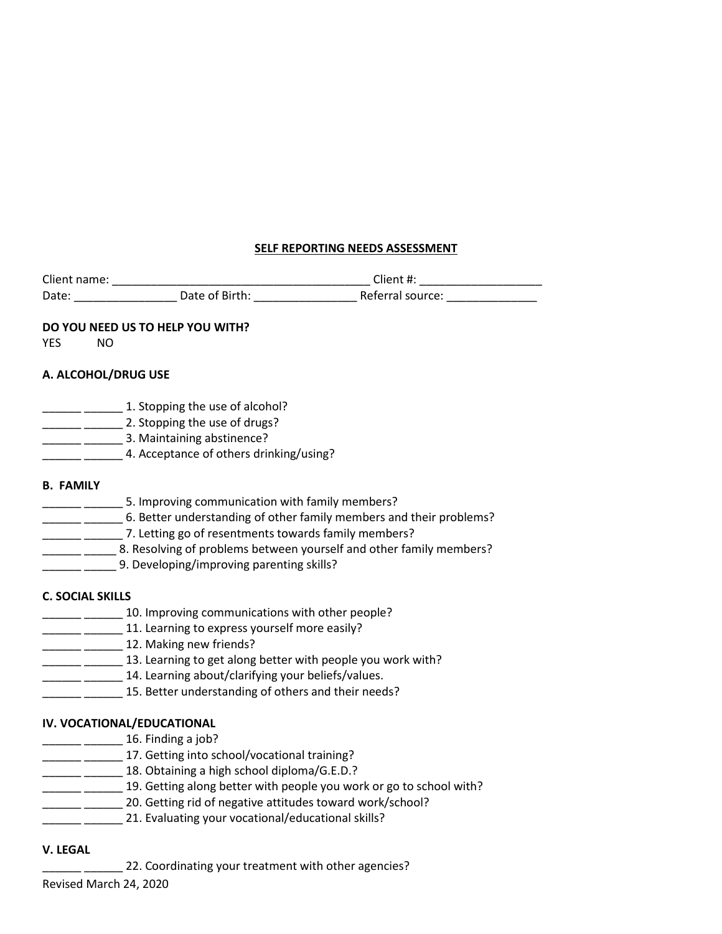# **SELF REPORTING NEEDS ASSESSMENT**

| Client name: |                | $C$ lient #:     |  |
|--------------|----------------|------------------|--|
| Date:        | Date of Birth: | Referral source: |  |

### **DO YOU NEED US TO HELP YOU WITH?**

YES NO

# **A. ALCOHOL/DRUG USE**

| 1. Stopping the use of alcohol?         |
|-----------------------------------------|
| 2. Stopping the use of drugs?           |
| 3. Maintaining abstinence?              |
| 4. Acceptance of others drinking/using? |

### **B. FAMILY**

| 5. Improving communication with family members?                     |
|---------------------------------------------------------------------|
| 6. Better understanding of other family members and their problems? |
| 7. Letting go of resentments towards family members?                |
| 8. Resolving of problems between yourself and other family members? |
| 9. Developing/improving parenting skills?                           |
|                                                                     |

# **C. SOCIAL SKILLS**

- **\_\_\_\_\_\_** 10. Improving communications with other people?
	- **\_\_\_\_\_\_\_\_\_ 11.** Learning to express yourself more easily?
- **\_\_\_\_\_** \_\_\_\_\_\_\_ 12. Making new friends?
- **\_\_\_\_\_\_** \_\_\_\_\_\_\_ 13. Learning to get along better with people you work with?
	- \_\_ \_\_\_\_\_\_ 14. Learning about/clarifying your beliefs/values.
- \_\_\_\_\_\_\_ 15. Better understanding of others and their needs?

# **IV. VOCATIONAL/EDUCATIONAL**

- **\_\_\_\_\_** \_\_\_\_\_\_\_ 16. Finding a job?
- 17. Getting into school/vocational training?
- **\_\_\_\_\_\_** 18. Obtaining a high school diploma/G.E.D.?
- **\_\_\_\_\_\_** \_\_\_\_\_\_\_ 19. Getting along better with people you work or go to school with?
	- \_\_\_\_\_\_\_ 20. Getting rid of negative attitudes toward work/school?
	- \_\_\_\_\_\_ 21. Evaluating your vocational/educational skills?

# **V. LEGAL**

\_22. Coordinating your treatment with other agencies?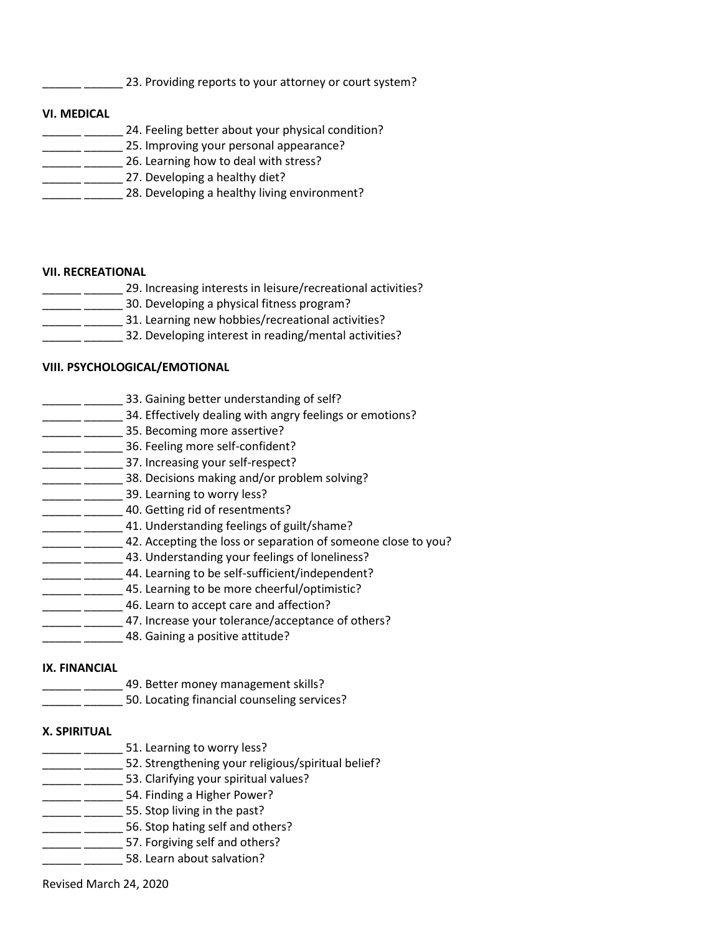123. Providing reports to your attorney or court system?

#### **VI. MEDICAL**

24. Feeling better about your physical condition? **\_\_\_\_\_** \_\_\_\_\_\_\_ 25. Improving your personal appearance? **\_\_\_\_\_\_** \_\_\_\_\_\_\_\_ 26. Learning how to deal with stress? **\_\_\_\_\_** \_\_\_\_\_\_\_\_ 27. Developing a healthy diet? **\_\_\_\_\_** \_\_\_\_\_\_\_ 28. Developing a healthy living environment?

#### **VII. RECREATIONAL**

- <sup>1</sup> \_\_\_\_\_\_\_\_\_\_ 29. Increasing interests in leisure/recreational activities? **\_\_\_\_\_** \_\_\_\_\_\_\_\_ 30. Developing a physical fitness program?
- \_\_ \_\_\_\_\_\_ 31. Learning new hobbies/recreational activities?
- \_\_ \_\_\_\_\_\_ 32. Developing interest in reading/mental activities?

# **VIII. PSYCHOLOGICAL/EMOTIONAL**

- **\_\_\_\_\_\_** \_\_\_\_\_\_\_\_ 33. Gaining better understanding of self?
- \_\_\_\_\_\_ \_\_\_\_\_\_\_ 34. Effectively dealing with angry feelings or emotions?
- \_\_ \_\_\_\_\_\_\_ 35. Becoming more assertive?
- **\_\_\_\_\_\_** 36. Feeling more self-confident?
- \_\_\_\_\_ \_\_\_\_\_\_\_\_\_ 37. Increasing your self-respect?
- **\_\_\_\_\_** \_\_\_\_\_\_\_\_ 38. Decisions making and/or problem solving?
- \_\_\_\_\_\_ \_\_\_\_\_\_ 39. Learning to worry less?
- **\_\_\_\_\_\_\_** \_\_\_\_\_\_\_ 40. Getting rid of resentments?
- \_\_\_\_\_ \_\_\_\_\_\_\_ 41. Understanding feelings of guilt/shame?
- **\_\_\_\_\_** \_\_\_\_\_\_\_ 42. Accepting the loss or separation of someone close to you?
- **\_\_\_\_\_\_** 43. Understanding your feelings of loneliness?
- **\_\_\_\_\_\_** 44. Learning to be self-sufficient/independent?
- **\_\_\_\_\_** 45. Learning to be more cheerful/optimistic?
- **\_\_\_\_\_\_\_\_\_** 46. Learn to accept care and affection?
- \_\_\_\_ \_\_\_\_\_\_\_ 47. Increase your tolerance/acceptance of others?
- **\_\_\_\_\_\_\_\_\_\_\_\_ 48. Gaining a positive attitude?**

### **IX. FINANCIAL**

- \_\_ \_\_\_\_\_\_ 49. Better money management skills?
- \_\_\_\_\_\_ \_\_\_\_\_\_ 50. Locating financial counseling services?

### **X. SPIRITUAL**

- **\_\_\_\_\_\_\_** \_\_\_\_\_\_\_\_ 51. Learning to worry less?
	- \_\_\_\_\_ \_\_\_\_\_\_\_ 52. Strengthening your religious/spiritual belief?
- \_\_\_\_\_\_\_\_\_\_\_ 53. Clarifying your spiritual values?
- **\_\_\_\_\_\_\_** 54. Finding a Higher Power?
- \_\_\_\_\_\_ \_\_\_\_\_\_ 55. Stop living in the past?
- **\_\_\_\_\_** \_\_\_\_\_\_\_\_ 56. Stop hating self and others?
- **Example 257.** Forgiving self and others?
- **\_\_\_\_** \_\_\_\_\_\_\_\_ 58. Learn about salvation?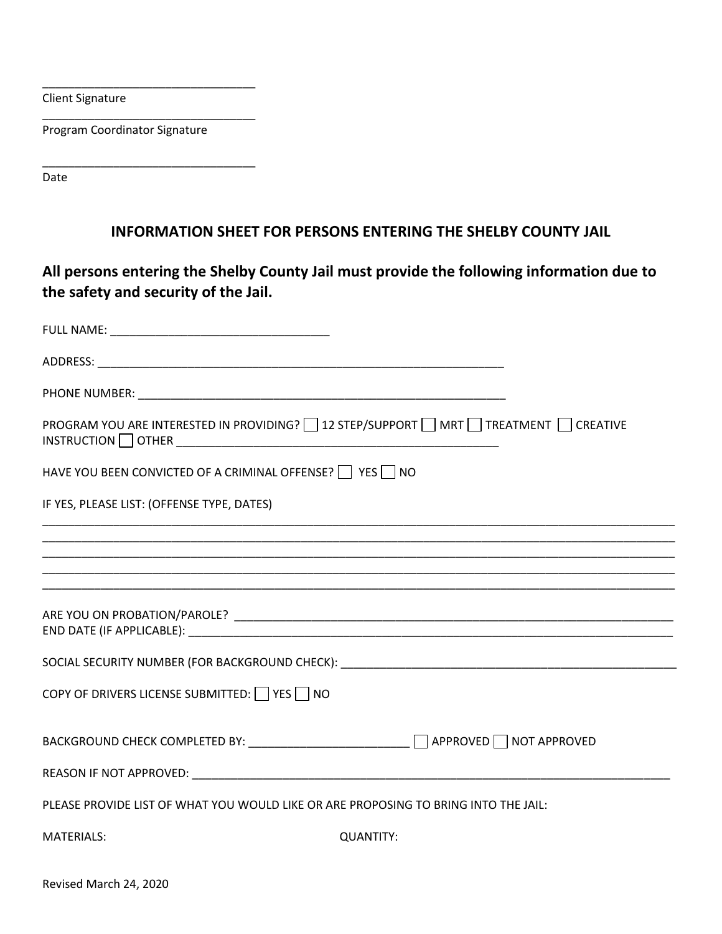Client Signature

Program Coordinator Signature

\_\_\_\_\_\_\_\_\_\_\_\_\_\_\_\_\_\_\_\_\_\_\_\_\_\_\_\_\_\_\_\_\_

\_\_\_\_\_\_\_\_\_\_\_\_\_\_\_\_\_\_\_\_\_\_\_\_\_\_\_\_\_\_\_\_\_

\_\_\_\_\_\_\_\_\_\_\_\_\_\_\_\_\_\_\_\_\_\_\_\_\_\_\_\_\_\_\_\_\_

Date

# **INFORMATION SHEET FOR PERSONS ENTERING THE SHELBY COUNTY JAIL**

**All persons entering the Shelby County Jail must provide the following information due to the safety and security of the Jail.** 

| PROGRAM YOU ARE INTERESTED IN PROVIDING?   12 STEP/SUPPORT   MRT   TREATMENT   CREATIVE |
|-----------------------------------------------------------------------------------------|
| HAVE YOU BEEN CONVICTED OF A CRIMINAL OFFENSE?   YES NO                                 |
| IF YES, PLEASE LIST: (OFFENSE TYPE, DATES)                                              |
| <u> 1989 - Johann Stoff, amerikansk politiker (d. 1989)</u>                             |
|                                                                                         |
|                                                                                         |
|                                                                                         |
| COPY OF DRIVERS LICENSE SUBMITTED: $\Box$ YES $\Box$ NO                                 |
| BACKGROUND CHECK COMPLETED BY: __________________________ □ APPROVED □ NOT APPROVED     |
|                                                                                         |
| PLEASE PROVIDE LIST OF WHAT YOU WOULD LIKE OR ARE PROPOSING TO BRING INTO THE JAIL:     |
| <b>MATERIALS:</b><br><b>QUANTITY:</b>                                                   |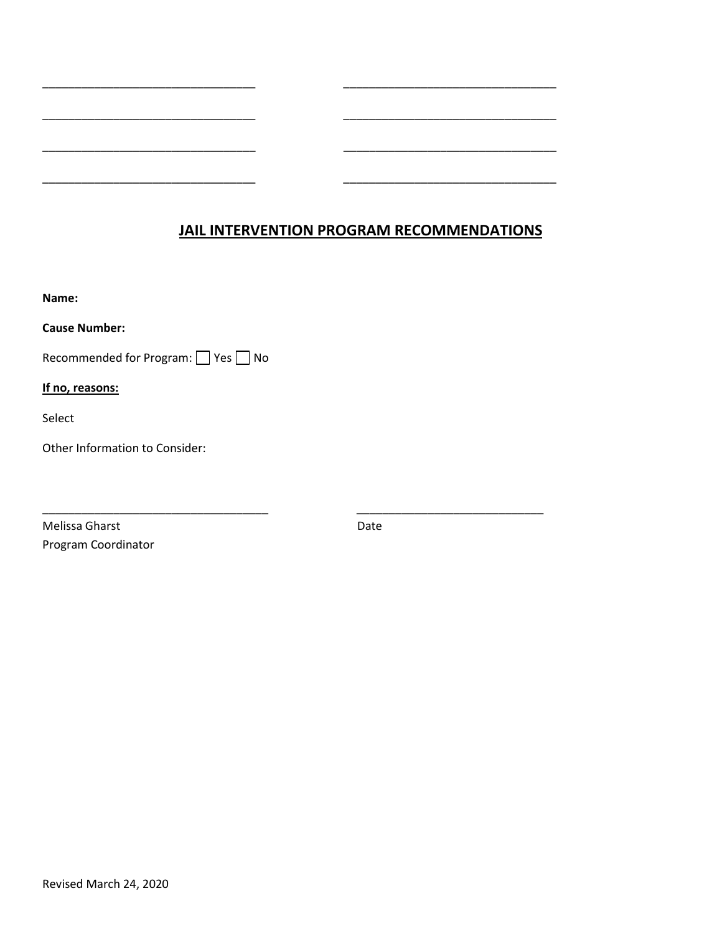# **JAIL INTERVENTION PROGRAM RECOMMENDATIONS**

\_\_\_\_\_\_\_\_\_\_\_\_\_\_\_\_\_\_\_\_\_\_\_\_\_\_\_\_\_\_\_\_\_ \_\_\_\_\_\_\_\_\_\_\_\_\_\_\_\_\_\_\_\_\_\_\_\_\_\_\_\_\_\_\_\_\_

\_\_\_\_\_\_\_\_\_\_\_\_\_\_\_\_\_\_\_\_\_\_\_\_\_\_\_\_\_\_\_\_\_ \_\_\_\_\_\_\_\_\_\_\_\_\_\_\_\_\_\_\_\_\_\_\_\_\_\_\_\_\_\_\_\_\_

\_\_\_\_\_\_\_\_\_\_\_\_\_\_\_\_\_\_\_\_\_\_\_\_\_\_\_\_\_\_\_\_\_ \_\_\_\_\_\_\_\_\_\_\_\_\_\_\_\_\_\_\_\_\_\_\_\_\_\_\_\_\_\_\_\_\_

\_\_\_\_\_\_\_\_\_\_\_\_\_\_\_\_\_\_\_\_\_\_\_\_\_\_\_\_\_\_\_\_\_ \_\_\_\_\_\_\_\_\_\_\_\_\_\_\_\_\_\_\_\_\_\_\_\_\_\_\_\_\_\_\_\_\_

\_\_\_\_\_\_\_\_\_\_\_\_\_\_\_\_\_\_\_\_\_\_\_\_\_\_\_\_\_\_\_\_\_\_\_ \_\_\_\_\_\_\_\_\_\_\_\_\_\_\_\_\_\_\_\_\_\_\_\_\_\_\_\_\_

**Name:** 

**Cause Number:**

Recommended for Program: Ses No

**If no, reasons:** 

Select

Other Information to Consider:

Melissa Gharst **Date** Program Coordinator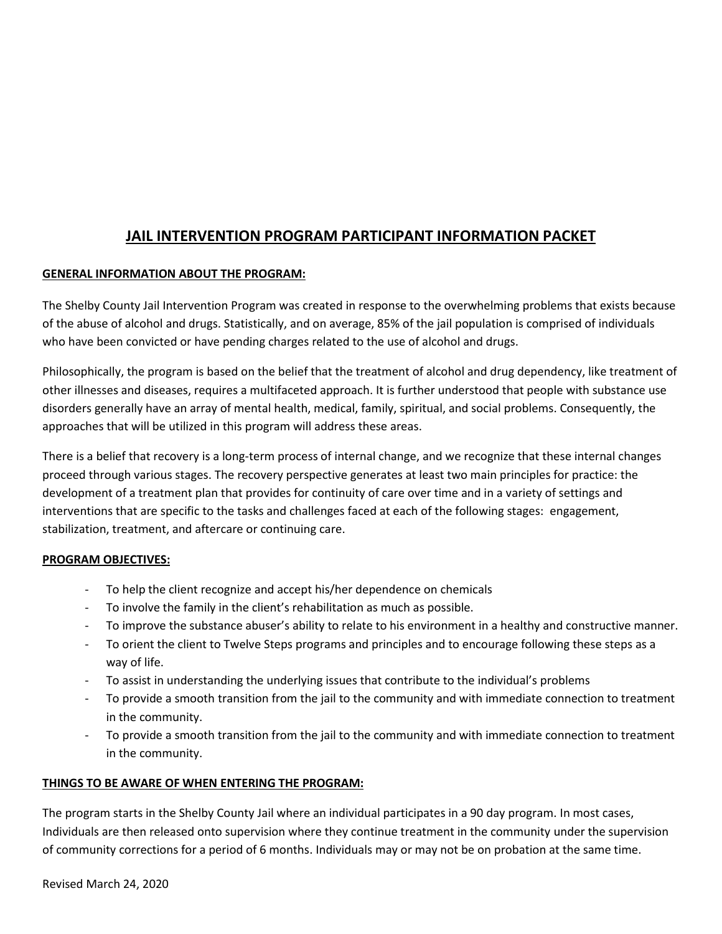# **JAIL INTERVENTION PROGRAM PARTICIPANT INFORMATION PACKET**

# **GENERAL INFORMATION ABOUT THE PROGRAM:**

The Shelby County Jail Intervention Program was created in response to the overwhelming problems that exists because of the abuse of alcohol and drugs. Statistically, and on average, 85% of the jail population is comprised of individuals who have been convicted or have pending charges related to the use of alcohol and drugs.

Philosophically, the program is based on the belief that the treatment of alcohol and drug dependency, like treatment of other illnesses and diseases, requires a multifaceted approach. It is further understood that people with substance use disorders generally have an array of mental health, medical, family, spiritual, and social problems. Consequently, the approaches that will be utilized in this program will address these areas.

There is a belief that recovery is a long-term process of internal change, and we recognize that these internal changes proceed through various stages. The recovery perspective generates at least two main principles for practice: the development of a treatment plan that provides for continuity of care over time and in a variety of settings and interventions that are specific to the tasks and challenges faced at each of the following stages: engagement, stabilization, treatment, and aftercare or continuing care.

### **PROGRAM OBJECTIVES:**

- To help the client recognize and accept his/her dependence on chemicals
- To involve the family in the client's rehabilitation as much as possible.
- To improve the substance abuser's ability to relate to his environment in a healthy and constructive manner.
- To orient the client to Twelve Steps programs and principles and to encourage following these steps as a way of life.
- To assist in understanding the underlying issues that contribute to the individual's problems
- To provide a smooth transition from the jail to the community and with immediate connection to treatment in the community.
- To provide a smooth transition from the jail to the community and with immediate connection to treatment in the community.

### **THINGS TO BE AWARE OF WHEN ENTERING THE PROGRAM:**

The program starts in the Shelby County Jail where an individual participates in a 90 day program. In most cases, Individuals are then released onto supervision where they continue treatment in the community under the supervision of community corrections for a period of 6 months. Individuals may or may not be on probation at the same time.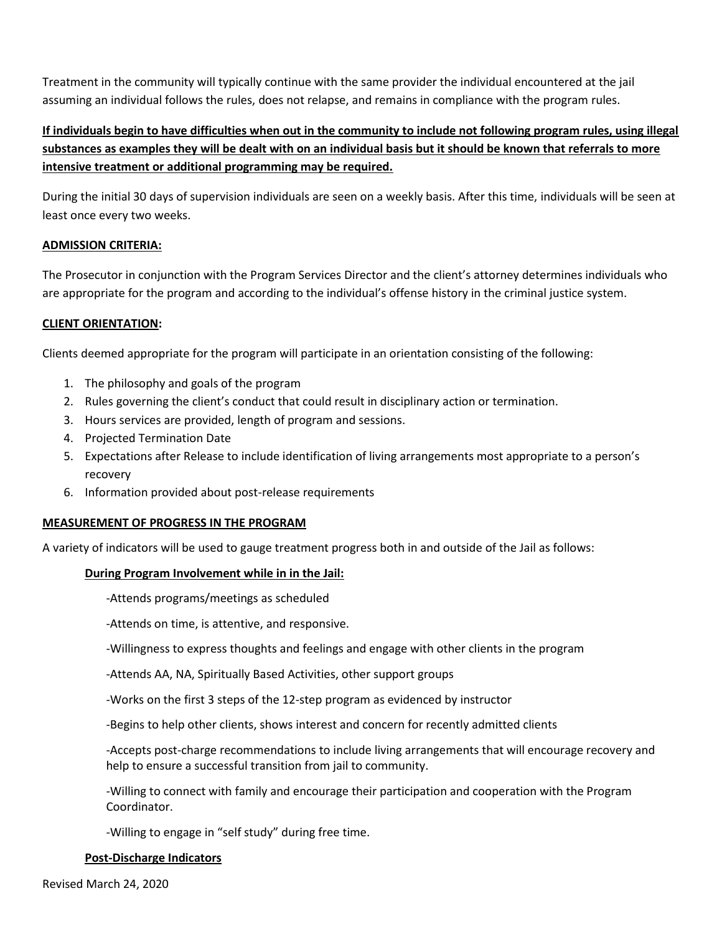Treatment in the community will typically continue with the same provider the individual encountered at the jail assuming an individual follows the rules, does not relapse, and remains in compliance with the program rules.

# **If individuals begin to have difficulties when out in the community to include not following program rules, using illegal substances as examples they will be dealt with on an individual basis but it should be known that referrals to more intensive treatment or additional programming may be required.**

During the initial 30 days of supervision individuals are seen on a weekly basis. After this time, individuals will be seen at least once every two weeks.

### **ADMISSION CRITERIA:**

The Prosecutor in conjunction with the Program Services Director and the client's attorney determines individuals who are appropriate for the program and according to the individual's offense history in the criminal justice system.

### **CLIENT ORIENTATION:**

Clients deemed appropriate for the program will participate in an orientation consisting of the following:

- 1. The philosophy and goals of the program
- 2. Rules governing the client's conduct that could result in disciplinary action or termination.
- 3. Hours services are provided, length of program and sessions.
- 4. Projected Termination Date
- 5. Expectations after Release to include identification of living arrangements most appropriate to a person's recovery
- 6. Information provided about post-release requirements

### **MEASUREMENT OF PROGRESS IN THE PROGRAM**

A variety of indicators will be used to gauge treatment progress both in and outside of the Jail as follows:

### **During Program Involvement while in in the Jail:**

-Attends programs/meetings as scheduled

-Attends on time, is attentive, and responsive.

-Willingness to express thoughts and feelings and engage with other clients in the program

-Attends AA, NA, Spiritually Based Activities, other support groups

-Works on the first 3 steps of the 12-step program as evidenced by instructor

-Begins to help other clients, shows interest and concern for recently admitted clients

-Accepts post-charge recommendations to include living arrangements that will encourage recovery and help to ensure a successful transition from jail to community.

-Willing to connect with family and encourage their participation and cooperation with the Program Coordinator.

-Willing to engage in "self study" during free time.

#### **Post-Discharge Indicators**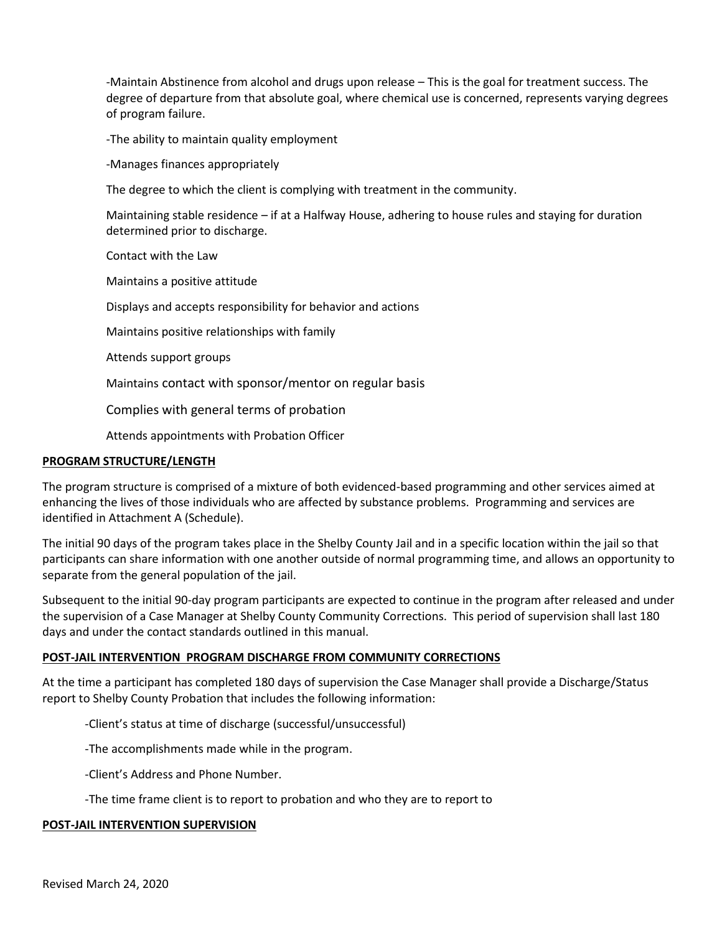-Maintain Abstinence from alcohol and drugs upon release – This is the goal for treatment success. The degree of departure from that absolute goal, where chemical use is concerned, represents varying degrees of program failure.

-The ability to maintain quality employment

-Manages finances appropriately

The degree to which the client is complying with treatment in the community.

Maintaining stable residence – if at a Halfway House, adhering to house rules and staying for duration determined prior to discharge.

Contact with the Law

Maintains a positive attitude

Displays and accepts responsibility for behavior and actions

Maintains positive relationships with family

Attends support groups

Maintains contact with sponsor/mentor on regular basis

Complies with general terms of probation

Attends appointments with Probation Officer

#### **PROGRAM STRUCTURE/LENGTH**

The program structure is comprised of a mixture of both evidenced-based programming and other services aimed at enhancing the lives of those individuals who are affected by substance problems. Programming and services are identified in Attachment A (Schedule).

The initial 90 days of the program takes place in the Shelby County Jail and in a specific location within the jail so that participants can share information with one another outside of normal programming time, and allows an opportunity to separate from the general population of the jail.

Subsequent to the initial 90-day program participants are expected to continue in the program after released and under the supervision of a Case Manager at Shelby County Community Corrections. This period of supervision shall last 180 days and under the contact standards outlined in this manual.

#### **POST-JAIL INTERVENTION PROGRAM DISCHARGE FROM COMMUNITY CORRECTIONS**

At the time a participant has completed 180 days of supervision the Case Manager shall provide a Discharge/Status report to Shelby County Probation that includes the following information:

-Client's status at time of discharge (successful/unsuccessful)

-The accomplishments made while in the program.

-Client's Address and Phone Number.

-The time frame client is to report to probation and who they are to report to

#### **POST-JAIL INTERVENTION SUPERVISION**